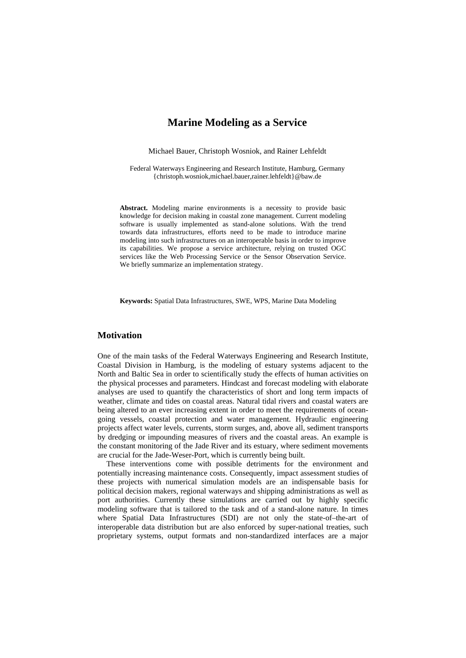# **Marine Modeling as a Service**

Michael Bauer, Christoph Wosniok, and Rainer Lehfeldt

Federal Waterways Engineering and Research Institute, Hamburg, Germany {christoph.wosniok,michael.bauer,rainer.lehfeldt}@baw.de

**Abstract.** Modeling marine environments is a necessity to provide basic knowledge for decision making in coastal zone management. Current modeling software is usually implemented as stand-alone solutions. With the trend towards data infrastructures, efforts need to be made to introduce marine modeling into such infrastructures on an interoperable basis in order to improve its capabilities. We propose a service architecture, relying on trusted OGC services like the Web Processing Service or the Sensor Observation Service. We briefly summarize an implementation strategy.

**Keywords:** Spatial Data Infrastructures, SWE, WPS, Marine Data Modeling

# **Motivation**

One of the main tasks of the Federal Waterways Engineering and Research Institute, Coastal Division in Hamburg, is the modeling of estuary systems adjacent to the North and Baltic Sea in order to scientifically study the effects of human activities on the physical processes and parameters. Hindcast and forecast modeling with elaborate analyses are used to quantify the characteristics of short and long term impacts of weather, climate and tides on coastal areas. Natural tidal rivers and coastal waters are being altered to an ever increasing extent in order to meet the requirements of oceangoing vessels, coastal protection and water management. Hydraulic engineering projects affect water levels, currents, storm surges, and, above all, sediment transports by dredging or impounding measures of rivers and the coastal areas. An example is the constant monitoring of the Jade River and its estuary, where sediment movements are crucial for the Jade-Weser-Port, which is currently being built.

These interventions come with possible detriments for the environment and potentially increasing maintenance costs. Consequently, impact assessment studies of these projects with numerical simulation models are an indispensable basis for political decision makers, regional waterways and shipping administrations as well as port authorities. Currently these simulations are carried out by highly specific modeling software that is tailored to the task and of a stand-alone nature. In times where Spatial Data Infrastructures (SDI) are not only the state-of–the-art of interoperable data distribution but are also enforced by super-national treaties, such proprietary systems, output formats and non-standardized interfaces are a major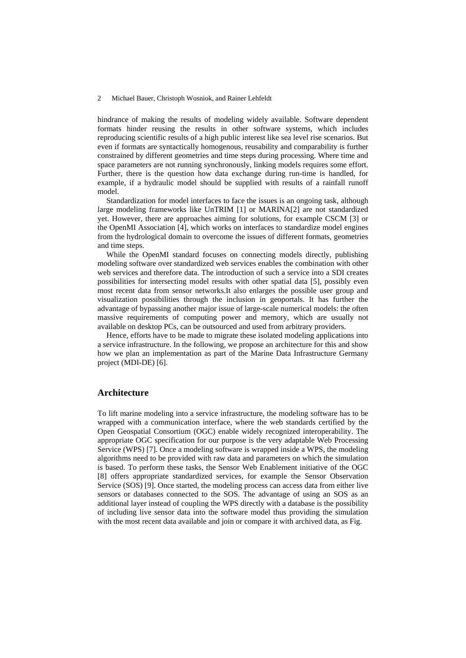#### 2 Michael Bauer, Christoph Wosniok, and Rainer Lehfeldt

hindrance of making the results of modeling widely available. Software dependent formats hinder reusing the results in other software systems, which includes reproducing scientific results of a high public interest like sea level rise scenarios. But even if formats are syntactically homogenous, reusability and comparability is further constrained by different geometries and time steps during processing. Where time and space parameters are not running synchronously, linking models requires some effort. Further, there is the question how data exchange during run-time is handled, for example, if a hydraulic model should be supplied with results of a rainfall runoff model.

Standardization for model interfaces to face the issues is an ongoing task, although large modeling frameworks like UnTRIM [1] or MARINA[2] are not standardized yet. However, there are approaches aiming for solutions, for example CSCM [3] or the OpenMI Association [4], which works on interfaces to standardize model engines from the hydrological domain to overcome the issues of different formats, geometries and time steps.

While the OpenMI standard focuses on connecting models directly, publishing modeling software over standardized web services enables the combination with other web services and therefore data. The introduction of such a service into a SDI creates possibilities for intersecting model results with other spatial data [5], possibly even most recent data from sensor networks.It also enlarges the possible user group and visualization possibilities through the inclusion in geoportals. It has further the advantage of bypassing another major issue of large-scale numerical models: the often massive requirements of computing power and memory, which are usually not available on desktop PCs, can be outsourced and used from arbitrary providers.

Hence, efforts have to be made to migrate these isolated modeling applications into a service infrastructure. In the following, we propose an architecture for this and show how we plan an implementation as part of the Marine Data Infrastructure Germany project (MDI-DE) [6].

### **Architecture**

To lift marine modeling into a service infrastructure, the modeling software has to be wrapped with a communication interface, where the web standards certified by the Open Geospatial Consortium (OGC) enable widely recognized interoperability. The appropriate OGC specification for our purpose is the very adaptable Web Processing Service (WPS) [7]. Once a modeling software is wrapped inside a WPS, the modeling algorithms need to be provided with raw data and parameters on which the simulation is based. To perform these tasks, the Sensor Web Enablement initiative of the OGC [8] offers appropriate standardized services, for example the Sensor Observation Service (SOS) [9]. Once started, the modeling process can access data from either live sensors or databases connected to the SOS. The advantage of using an SOS as an additional layer instead of coupling the WPS directly with a database is the possibility of including live sensor data into the software model thus providing the simulation with the most recent data available and join or compare it with archived data, as Fig.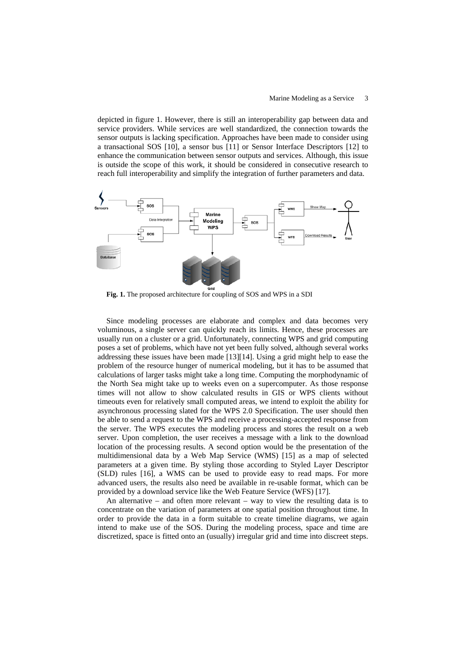depicted in figure 1. However, there is still an interoperability gap between data and service providers. While services are well standardized, the connection towards the sensor outputs is lacking specification. Approaches have been made to consider using a transactional SOS [10], a sensor bus [11] or Sensor Interface Descriptors [12] to enhance the communication between sensor outputs and services. Although, this issue is outside the scope of this work, it should be considered in consecutive research to reach full interoperability and simplify the integration of further parameters and data.



**Fig. 1.** The proposed architecture for coupling of SOS and WPS in a SDI

Since modeling processes are elaborate and complex and data becomes very voluminous, a single server can quickly reach its limits. Hence, these processes are usually run on a cluster or a grid. Unfortunately, connecting WPS and grid computing poses a set of problems, which have not yet been fully solved, although several works addressing these issues have been made [13][14]. Using a grid might help to ease the problem of the resource hunger of numerical modeling, but it has to be assumed that calculations of larger tasks might take a long time. Computing the morphodynamic of the North Sea might take up to weeks even on a supercomputer. As those response times will not allow to show calculated results in GIS or WPS clients without timeouts even for relatively small computed areas, we intend to exploit the ability for asynchronous processing slated for the WPS 2.0 Specification. The user should then be able to send a request to the WPS and receive a processing-accepted response from the server. The WPS executes the modeling process and stores the result on a web server. Upon completion, the user receives a message with a link to the download location of the processing results. A second option would be the presentation of the multidimensional data by a Web Map Service (WMS) [15] as a map of selected parameters at a given time. By styling those according to Styled Layer Descriptor (SLD) rules [16], a WMS can be used to provide easy to read maps. For more advanced users, the results also need be available in re-usable format, which can be provided by a download service like the Web Feature Service (WFS) [17].

An alternative – and often more relevant – way to view the resulting data is to concentrate on the variation of parameters at one spatial position throughout time. In order to provide the data in a form suitable to create timeline diagrams, we again intend to make use of the SOS. During the modeling process, space and time are discretized, space is fitted onto an (usually) irregular grid and time into discreet steps.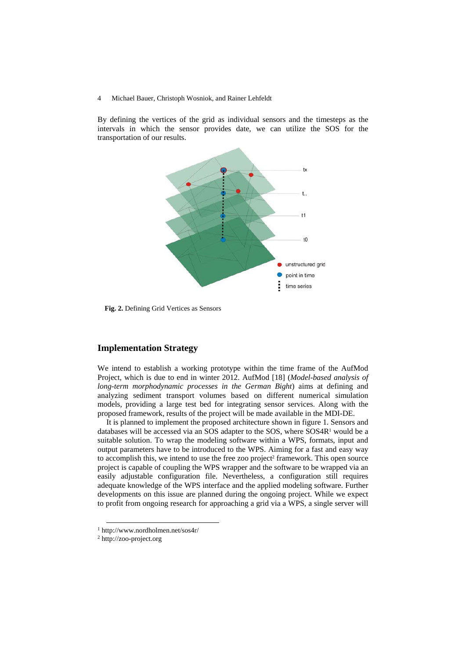#### 4 Michael Bauer, Christoph Wosniok, and Rainer Lehfeldt

By defining the vertices of the grid as individual sensors and the timesteps as the intervals in which the sensor provides date, we can utilize the SOS for the transportation of our results.



 **Fig. 2.** Defining Grid Vertices as Sensors

# **Implementation Strategy**

We intend to establish a working prototype within the time frame of the AufMod Project, which is due to end in winter 2012. AufMod [18] (*Model-based analysis of long-term morphodynamic processes in the German Bight*) aims at defining and analyzing sediment transport volumes based on different numerical simulation models, providing a large test bed for integrating sensor services. Along with the proposed framework, results of the project will be made available in the MDI-DE.

It is planned to implement the proposed architecture shown in figure 1. Sensors and databases will be accessed via an SOS adapter to the SOS, where  $SOS4R<sup>1</sup>$  would be a suitable solution. To wrap the modeling software within a WPS, formats, input and output parameters have to be introduced to the WPS. Aiming for a fast and easy way to accomplish this, we intend to use the free zoo project<sup>2</sup> framework. This open source project is capable of coupling the WPS wrapper and the software to be wrapped via an easily adjustable configuration file. Nevertheless, a configuration still requires adequate knowledge of the WPS interface and the applied modeling software. Further developments on this issue are planned during the ongoing project. While we expect to profit from ongoing research for approaching a grid via a WPS, a single server will

 <sup>1</sup> http://www.nordholmen.net/sos4r/

<sup>2</sup> http://zoo-project.org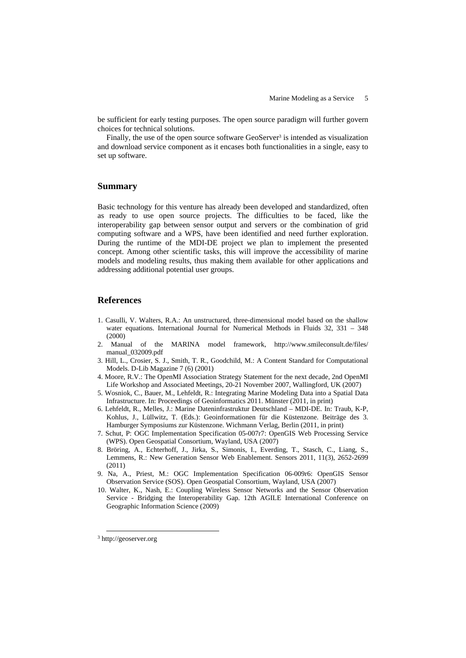be sufficient for early testing purposes. The open source paradigm will further govern choices for technical solutions.

Finally, the use of the open source software  $GeoServer<sup>3</sup>$  is intended as visualization and download service component as it encases both functionalities in a single, easy to set up software.

### **Summary**

Basic technology for this venture has already been developed and standardized, often as ready to use open source projects. The difficulties to be faced, like the interoperability gap between sensor output and servers or the combination of grid computing software and a WPS, have been identified and need further exploration. During the runtime of the MDI-DE project we plan to implement the presented concept. Among other scientific tasks, this will improve the accessibility of marine models and modeling results, thus making them available for other applications and addressing additional potential user groups.

# **References**

- 1. Casulli, V. Walters, R.A.: An unstructured, three-dimensional model based on the shallow water equations. International Journal for Numerical Methods in Fluids 32, 331 – 348 (2000)
- 2. Manual of the MARINA model framework, http://www.smileconsult.de/files/ manual\_032009.pdf
- 3. Hill, L., Crosier, S. J., Smith, T. R., Goodchild, M.: A Content Standard for Computational Models. D-Lib Magazine 7 (6) (2001)
- 4. Moore, R.V.: The OpenMI Association Strategy Statement for the next decade, 2nd OpenMI Life Workshop and Associated Meetings, 20-21 November 2007, Wallingford, UK (2007)
- 5. Wosniok, C., Bauer, M., Lehfeldt, R.: Integrating Marine Modeling Data into a Spatial Data Infrastructure. In: Proceedings of Geoinformatics 2011. Münster (2011, in print)
- 6. Lehfeldt, R., Melles, J.: Marine Dateninfrastruktur Deutschland MDI-DE. In: Traub, K-P, Kohlus, J., Lüllwitz, T. (Eds.): Geoinformationen für die Küstenzone. Beiträge des 3. Hamburger Symposiums zur Küstenzone. Wichmann Verlag, Berlin (2011, in print)
- 7. Schut, P: OGC Implementation Specification 05-007r7: OpenGIS Web Processing Service (WPS). Open Geospatial Consortium, Wayland, USA (2007)
- 8. Bröring, A., Echterhoff, J., Jirka, S., Simonis, I., Everding, T., Stasch, C., Liang, S., Lemmens, R.: New Generation Sensor Web Enablement. Sensors 2011, 11(3), 2652-2699 (2011)
- 9. Na, A., Priest, M.: OGC Implementation Specification 06-009r6: OpenGIS Sensor Observation Service (SOS). Open Geospatial Consortium, Wayland, USA (2007)
- 10. Walter, K., Nash, E.: Coupling Wireless Sensor Networks and the Sensor Observation Service - Bridging the Interoperability Gap. 12th AGILE International Conference on Geographic Information Science (2009)

 <sup>3</sup> http://geoserver.org